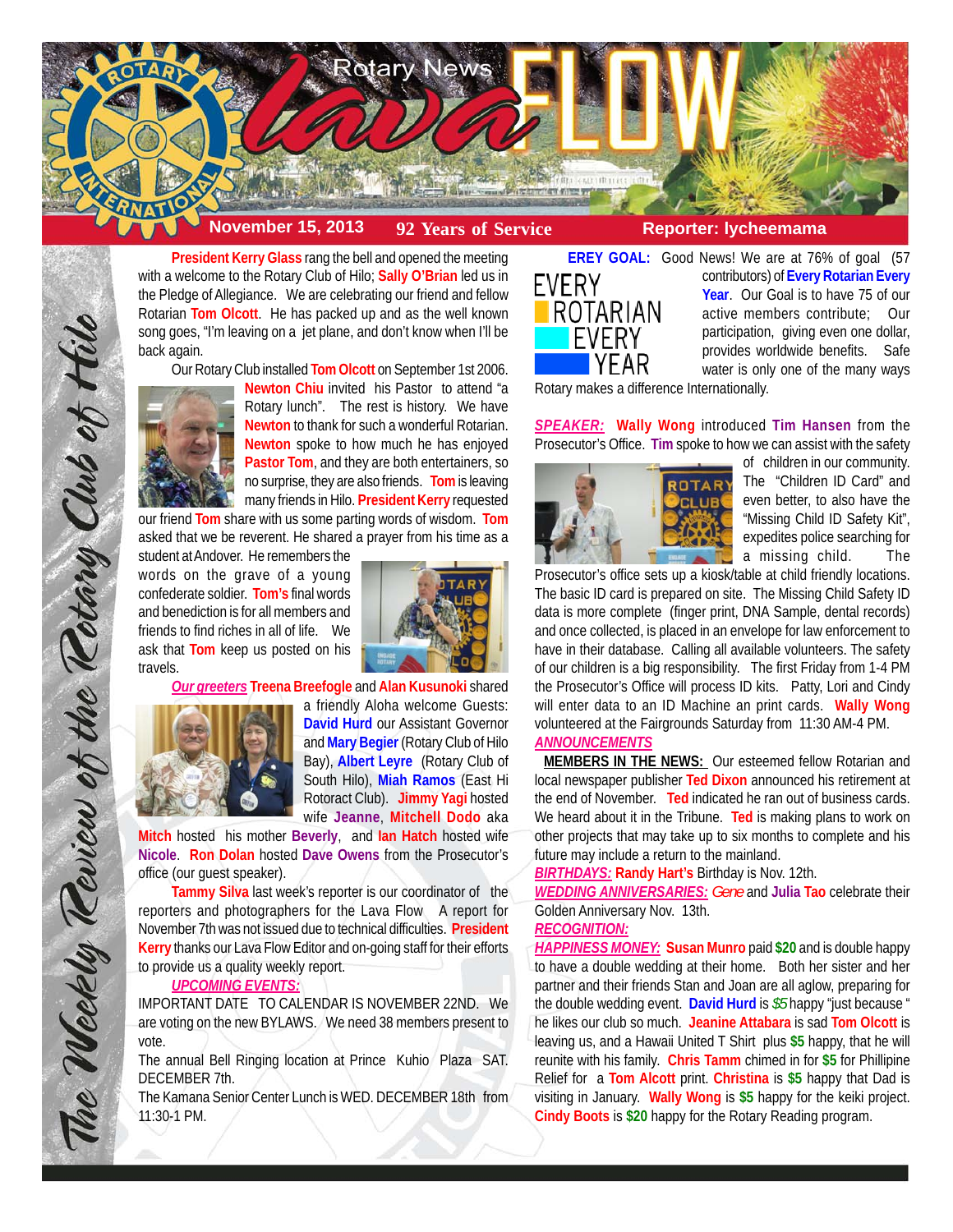

**President Kerry Glass** rang the bell and opened the meeting with a welcome to the Rotary Club of Hilo; **Sally O'Brian** led us in the Pledge of Allegiance. We are celebrating our friend and fellow Rotarian **Tom Olcott**. He has packed up and as the well known song goes, "I'm leaving on a jet plane, and don't know when I'll be back again.

Our Rotary Club installed **Tom Olcott** on September 1st 2006.



**Newton Chiu** invited his Pastor to attend "a Rotary lunch". The rest is history. We have **Newton** to thank for such a wonderful Rotarian. **Newton** spoke to how much he has enjoyed **Pastor Tom**, and they are both entertainers, so no surprise, they are also friends. **Tom** is leaving many friends in Hilo. **President Kerry** requested

our friend **Tom** share with us some parting words of wisdom. **Tom** asked that we be reverent. He shared a prayer from his time as a

student at Andover. He remembers the words on the grave of a young confederate soldier. **Tom's** final words and benediction is for all members and friends to find riches in all of life. We ask that **Tom** keep us posted on his travels.



*Our greeters* **Treena Breefogle** and **Alan Kusunoki** shared



The Weekly Review of the Rotary Club of Hill

a friendly Aloha welcome Guests: **David Hurd** our Assistant Governor and **Mary Begier** (Rotary Club of Hilo Bay), **Albert Leyre** (Rotary Club of South Hilo), **Miah Ramos** (East Hi Rotoract Club). **Jimmy Yagi** hosted wife **Jeanne**, **Mitchell Dodo** aka

**Mitch** hosted his mother **Beverly**, and **Ian Hatch** hosted wife **Nicole**. **Ron Dolan** hosted **Dave Owens** from the Prosecutor's office (our guest speaker).

**Tammy Silva** last week's reporter is our coordinator of the reporters and photographers for the Lava Flow A report for November 7th was not issued due to technical difficulties. **President Kerry** thanks our Lava Flow Editor and on-going staff for their efforts to provide us a quality weekly report.

## *UPCOMING EVENTS:*

IMPORTANT DATE TO CALENDAR IS NOVEMBER 22ND. We are voting on the new BYLAWS. We need 38 members present to vote.

The annual Bell Ringing location at Prince Kuhio Plaza SAT. DECEMBER 7th.

The Kamana Senior Center Lunch is WED. DECEMBER 18th from 11:30-1 PM.



**EREY GOAL:** Good News! We are at 76% of goal (57 contributors) of **Every Rotarian Every Year**. Our Goal is to have 75 of our active members contribute; Our participation, giving even one dollar, provides worldwide benefits. Safe water is only one of the many ways

Rotary makes a difference Internationally.

*SPEAKER:* **Wally Wong** introduced **Tim Hansen** from the Prosecutor's Office. **Tim** spoke to how we can assist with the safety



of children in our community. The "Children ID Card" and even better, to also have the "Missing Child ID Safety Kit", expedites police searching for a missing child. The

Prosecutor's office sets up a kiosk/table at child friendly locations. The basic ID card is prepared on site. The Missing Child Safety ID data is more complete (finger print, DNA Sample, dental records) and once collected, is placed in an envelope for law enforcement to have in their database. Calling all available volunteers. The safety of our children is a big responsibility. The first Friday from 1-4 PM the Prosecutor's Office will process ID kits. Patty, Lori and Cindy will enter data to an ID Machine an print cards. **Wally Wong** volunteered at the Fairgrounds Saturday from 11:30 AM-4 PM. *ANNOUNCEMENTS*

 **MEMBERS IN THE NEWS:** Our esteemed fellow Rotarian and local newspaper publisher **Ted Dixon** announced his retirement at the end of November. **Ted** indicated he ran out of business cards. We heard about it in the Tribune. **Ted** is making plans to work on other projects that may take up to six months to complete and his future may include a return to the mainland.

*BIRTHDAYS:* **Randy Hart's** Birthday is Nov. 12th.

*WEDDING ANNIVERSARIES: Gene* and **Julia Tao** celebrate their Golden Anniversary Nov. 13th.

#### *RECOGNITION:*

*HAPPINESS MONEY:* **Susan Munro** paid **\$20** and is double happy to have a double wedding at their home. Both her sister and her partner and their friends Stan and Joan are all aglow, preparing for the double wedding event. **David Hurd** is *\$5* happy "just because " he likes our club so much. **Jeanine Attabara** is sad **Tom Olcott** is leaving us, and a Hawaii United T Shirt plus **\$5** happy, that he will reunite with his family. **Chris Tamm** chimed in for **\$5** for Phillipine Relief for a **Tom Alcott** print. **Christina** is **\$5** happy that Dad is visiting in January. **Wally Wong** is **\$5** happy for the keiki project. **Cindy Boots** is **\$20** happy for the Rotary Reading program.